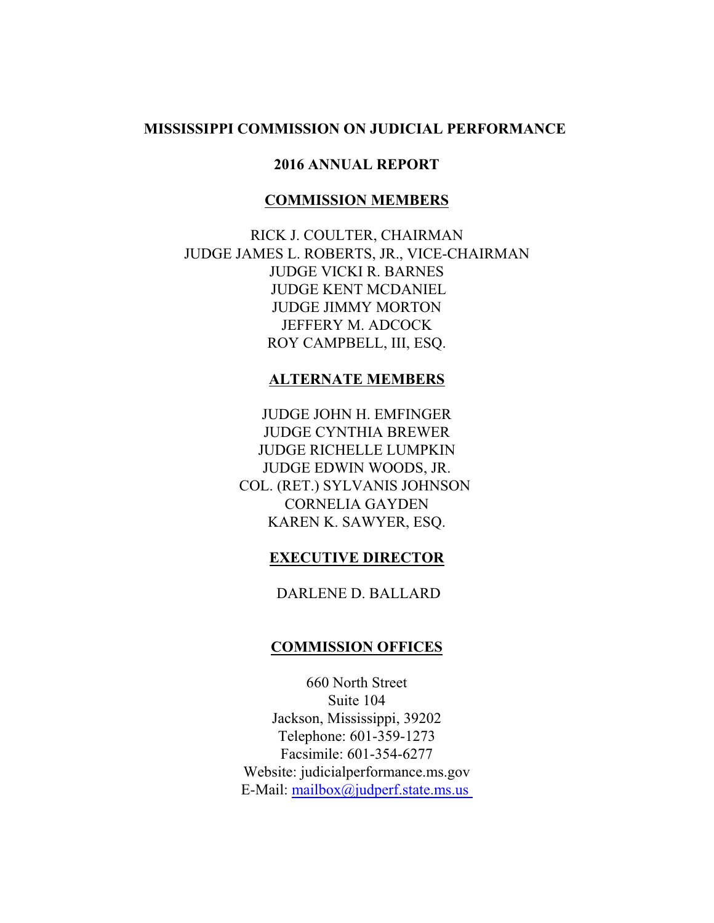# **MISSISSIPPI COMMISSION ON JUDICIAL PERFORMANCE**

### **2016 ANNUAL REPORT**

### **COMMISSION MEMBERS**

RICK J. COULTER, CHAIRMAN JUDGE JAMES L. ROBERTS, JR., VICE-CHAIRMAN JUDGE VICKI R. BARNES JUDGE KENT MCDANIEL JUDGE JIMMY MORTON JEFFERY M. ADCOCK ROY CAMPBELL, III, ESQ.

### **ALTERNATE MEMBERS**

JUDGE JOHN H. EMFINGER JUDGE CYNTHIA BREWER JUDGE RICHELLE LUMPKIN JUDGE EDWIN WOODS, JR. COL. (RET.) SYLVANIS JOHNSON CORNELIA GAYDEN KAREN K. SAWYER, ESQ.

# **EXECUTIVE DIRECTOR**

DARLENE D. BALLARD

### **COMMISSION OFFICES**

660 North Street Suite 104 Jackson, Mississippi, 39202 Telephone: 601-359-1273 Facsimile: 601-354-6277 Website: judicialperformance.ms.gov E-Mail: [mailbox@judperf.state.ms.us](mailto:mailbox@judperf.state.ms.)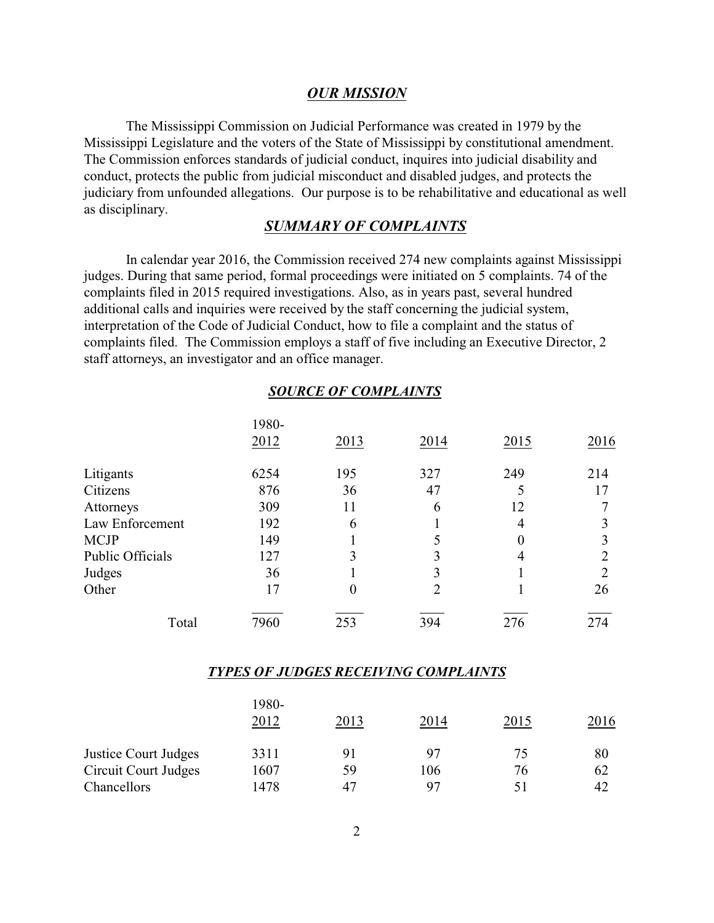### *OUR MISSION*

The Mississippi Commission on Judicial Performance was created in 1979 by the Mississippi Legislature and the voters of the State of Mississippi by constitutional amendment. The Commission enforces standards of judicial conduct, inquires into judicial disability and conduct, protects the public from judicial misconduct and disabled judges, and protects the judiciary from unfounded allegations. Our purpose is to be rehabilitative and educational as well as disciplinary.

# *SUMMARY OF COMPLAINTS*

In calendar year 2016, the Commission received 274 new complaints against Mississippi judges. During that same period, formal proceedings were initiated on 5 complaints. 74 of the complaints filed in 2015 required investigations. Also, as in years past, several hundred additional calls and inquiries were received by the staff concerning the judicial system, interpretation of the Code of Judicial Conduct, how to file a complaint and the status of complaints filed. The Commission employs a staff of five including an Executive Director, 2 staff attorneys, an investigator and an office manager.

|                  |       | <b>SOURCE OF COMPLAINTS</b> |                |      |      |
|------------------|-------|-----------------------------|----------------|------|------|
|                  | 1980- |                             |                |      |      |
|                  | 2012  | 2013                        | 2014           | 2015 | 2016 |
| Litigants        | 6254  | 195                         | 327            | 249  | 214  |
| Citizens         | 876   | 36                          | 47             |      | 17   |
| Attorneys        | 309   | 11                          | 6              | 12   |      |
| Law Enforcement  | 192   | 6                           |                | 4    |      |
| <b>MCJP</b>      | 149   |                             |                |      |      |
| Public Officials | 127   | 3                           |                |      |      |
| Judges           | 36    |                             |                |      |      |
| Other            | 17    | $\overline{0}$              | $\overline{2}$ |      | 26   |
| Total            | 7960  | 253                         | 394            | 276  | 274  |

#### *TYPES OF JUDGES RECEIVING COMPLAINTS*

|                      | 1980-<br>2012 | 2013 | 2014 | 2015 | 2016 |
|----------------------|---------------|------|------|------|------|
| Justice Court Judges | 3311          | 91   | 97   | 75   | 80   |
| Circuit Court Judges | 1607          | 59   | 106  | 76   | 62   |
| Chancellors          | 1478          | 47   | 97   | 51   | 42   |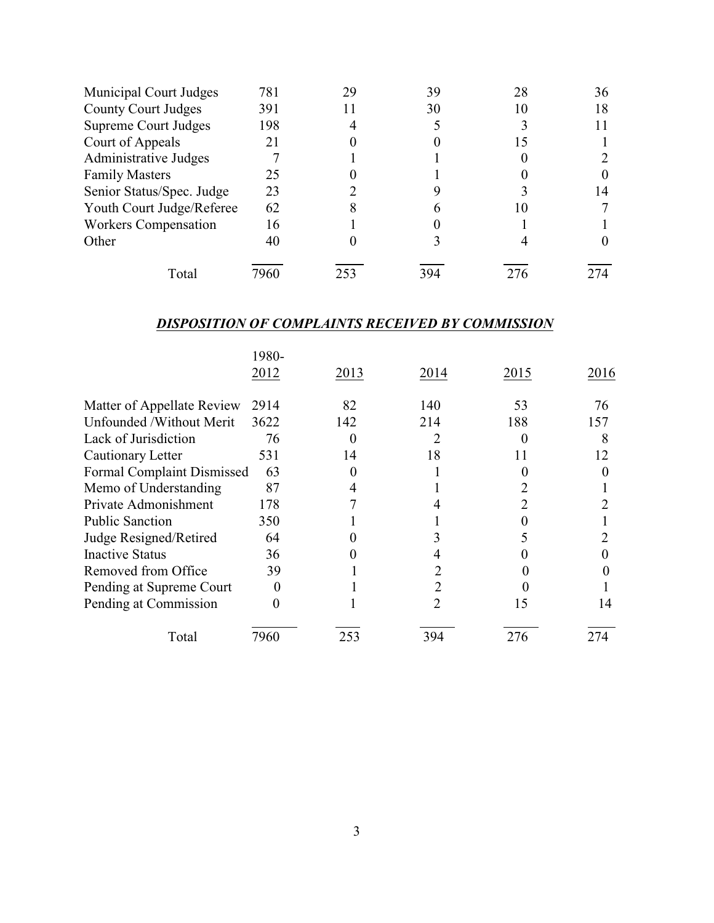| <b>Municipal Court Judges</b> | 781  | 29 | 39  | 28  | 36  |
|-------------------------------|------|----|-----|-----|-----|
| <b>County Court Judges</b>    | 391  |    | 30  |     | 18  |
| <b>Supreme Court Judges</b>   | 198  |    |     |     |     |
| Court of Appeals              | 21   |    |     |     |     |
| Administrative Judges         |      |    |     |     |     |
| <b>Family Masters</b>         | 25   |    |     |     |     |
| Senior Status/Spec. Judge     | 23   |    |     |     |     |
| Youth Court Judge/Referee     | 62   |    |     |     |     |
| <b>Workers Compensation</b>   | 16   |    |     |     |     |
| Other                         | 40   |    |     |     |     |
| Total                         | 7960 |    | 394 | 276 | 274 |

# *DISPOSITION OF COMPLAINTS RECEIVED BY COMMISSION*

|                                   | 1980-    |      |      |      |      |
|-----------------------------------|----------|------|------|------|------|
|                                   | 2012     | 2013 | 2014 | 2015 | 2016 |
| Matter of Appellate Review        | 2914     | 82   | 140  | 53   | 76   |
| Unfounded /Without Merit          | 3622     | 142  | 214  | 188  | 157  |
| Lack of Jurisdiction              | 76       |      |      |      |      |
| Cautionary Letter                 | 531      | 14   | 18   |      | 12   |
| <b>Formal Complaint Dismissed</b> | 63       |      |      |      |      |
| Memo of Understanding             | 87       |      |      |      |      |
| Private Admonishment              | 178      |      |      |      |      |
| <b>Public Sanction</b>            | 350      |      |      |      |      |
| Judge Resigned/Retired            | 64       |      |      |      |      |
| <b>Inactive Status</b>            | 36       |      |      |      |      |
| Removed from Office               | 39       |      |      |      |      |
| Pending at Supreme Court          | $\theta$ |      |      |      |      |
| Pending at Commission             | $_{0}$   |      |      | 15   | 14   |
| Total                             | 7960     | 253  | 394  | 276  | 274  |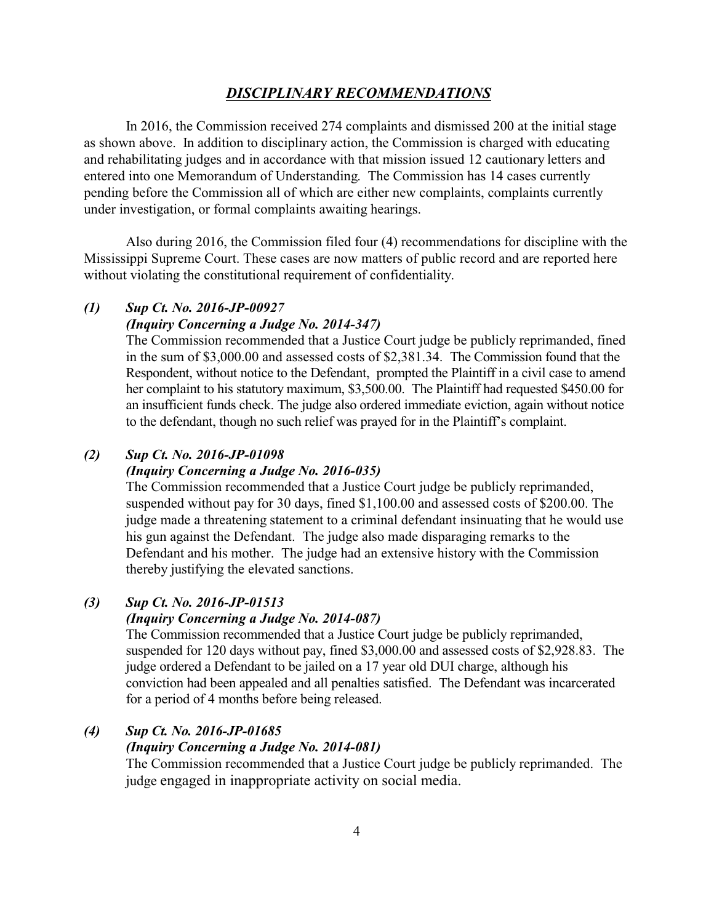### *DISCIPLINARY RECOMMENDATIONS*

In 2016, the Commission received 274 complaints and dismissed 200 at the initial stage as shown above. In addition to disciplinary action, the Commission is charged with educating and rehabilitating judges and in accordance with that mission issued 12 cautionary letters and entered into one Memorandum of Understanding. The Commission has 14 cases currently pending before the Commission all of which are either new complaints, complaints currently under investigation, or formal complaints awaiting hearings.

Also during 2016, the Commission filed four (4) recommendations for discipline with the Mississippi Supreme Court. These cases are now matters of public record and are reported here without violating the constitutional requirement of confidentiality.

### *(1) Sup Ct. No. 2016-JP-00927*

#### *(Inquiry Concerning a Judge No. 2014-347)*

The Commission recommended that a Justice Court judge be publicly reprimanded, fined in the sum of \$3,000.00 and assessed costs of \$2,381.34. The Commission found that the Respondent, without notice to the Defendant, prompted the Plaintiff in a civil case to amend her complaint to his statutory maximum, \$3,500.00. The Plaintiff had requested \$450.00 for an insufficient funds check. The judge also ordered immediate eviction, again without notice to the defendant, though no such relief was prayed for in the Plaintiff's complaint.

#### *(2) Sup Ct. No. 2016-JP-01098*

#### *(Inquiry Concerning a Judge No. 2016-035)*

The Commission recommended that a Justice Court judge be publicly reprimanded, suspended without pay for 30 days, fined \$1,100.00 and assessed costs of \$200.00. The judge made a threatening statement to a criminal defendant insinuating that he would use his gun against the Defendant. The judge also made disparaging remarks to the Defendant and his mother. The judge had an extensive history with the Commission thereby justifying the elevated sanctions.

## *(3) Sup Ct. No. 2016-JP-01513*

#### *(Inquiry Concerning a Judge No. 2014-087)*

The Commission recommended that a Justice Court judge be publicly reprimanded, suspended for 120 days without pay, fined \$3,000.00 and assessed costs of \$2,928.83. The judge ordered a Defendant to be jailed on a 17 year old DUI charge, although his conviction had been appealed and all penalties satisfied. The Defendant was incarcerated for a period of 4 months before being released.

## *(4) Sup Ct. No. 2016-JP-01685*

#### *(Inquiry Concerning a Judge No. 2014-081)*

The Commission recommended that a Justice Court judge be publicly reprimanded. The judge engaged in inappropriate activity on social media.